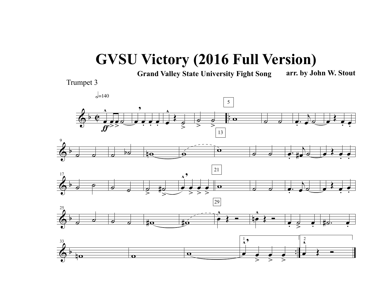## **GVSU Victory (2016 Full Version)**

**Grand Valley State University Fight Song arr. by John W. Stout**



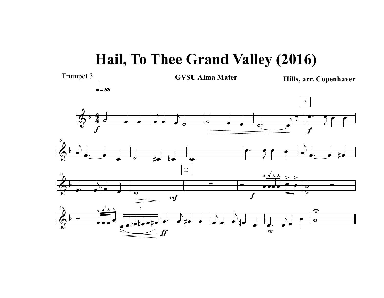## **Hail, To Thee Grand Valley (2016)**

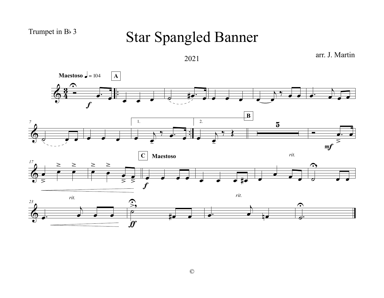## Trumpet in B<sub>b</sub> 3

## Star Spangled Banner

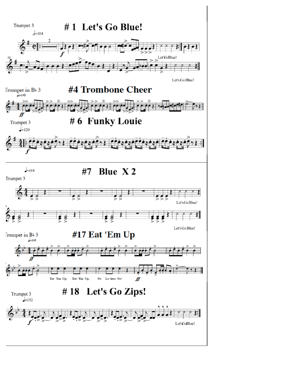